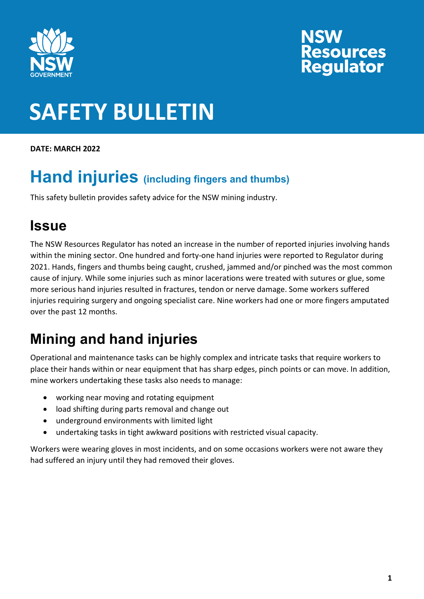

# **NSW<br>Resources<br>Regulator**

### **SAFETY BULLETIN**

**DATE: MARCH 2022** 

#### **Hand injuries (including fingers and thumbs)**

This safety bulletin provides safety advice for the NSW mining industry.

#### **Issue**

The NSW Resources Regulator has noted an increase in the number of reported injuries involving hands within the mining sector. One hundred and forty-one hand injuries were reported to Regulator during 2021. Hands, fingers and thumbs being caught, crushed, jammed and/or pinched was the most common cause of injury. While some injuries such as minor lacerations were treated with sutures or glue, some more serious hand injuries resulted in fractures, tendon or nerve damage. Some workers suffered injuries requiring surgery and ongoing specialist care. Nine workers had one or more fingers amputated over the past 12 months.

#### **Mining and hand injuries**

Operational and maintenance tasks can be highly complex and intricate tasks that require workers to place their hands within or near equipment that has sharp edges, pinch points or can move. In addition, mine workers undertaking these tasks also needs to manage:

- working near moving and rotating equipment
- load shifting during parts removal and change out
- underground environments with limited light
- undertaking tasks in tight awkward positions with restricted visual capacity.

Workers were wearing gloves in most incidents, and on some occasions workers were not aware they had suffered an injury until they had removed their gloves.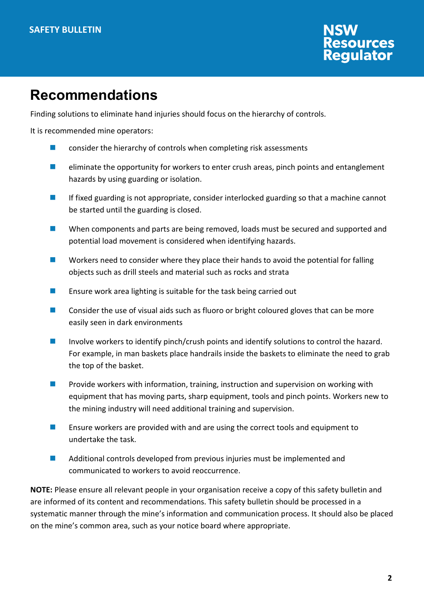### **NSW<br>Resources<br>Regulator**

#### **Recommendations**

Finding solutions to eliminate hand injuries should focus on the hierarchy of controls.

It is recommended mine operators:

- **E** consider the hierarchy of controls when completing risk assessments
- $\blacksquare$  eliminate the opportunity for workers to enter crush areas, pinch points and entanglement hazards by using guarding or isolation.
- $\blacksquare$  If fixed guarding is not appropriate, consider interlocked guarding so that a machine cannot be started until the guarding is closed.
- When components and parts are being removed, loads must be secured and supported and potential load movement is considered when identifying hazards.
- $\blacksquare$  Workers need to consider where they place their hands to avoid the potential for falling objects such as drill steels and material such as rocks and strata
- **EXECUTE:** Ensure work area lighting is suitable for the task being carried out
- **EXECONS** Consider the use of visual aids such as fluoro or bright coloured gloves that can be more easily seen in dark environments
- Involve workers to identify pinch/crush points and identify solutions to control the hazard. For example, in man baskets place handrails inside the baskets to eliminate the need to grab the top of the basket.
- **Provide workers with information, training, instruction and supervision on working with** equipment that has moving parts, sharp equipment, tools and pinch points. Workers new to the mining industry will need additional training and supervision.
- **EXTERGHM** Ensure workers are provided with and are using the correct tools and equipment to undertake the task.
- **Additional controls developed from previous injuries must be implemented and** communicated to workers to avoid reoccurrence.

**NOTE:** Please ensure all relevant people in your organisation receive a copy of this safety bulletin and are informed of its content and recommendations. This safety bulletin should be processed in a systematic manner through the mine's information and communication process. It should also be placed on the mine's common area, such as your notice board where appropriate.